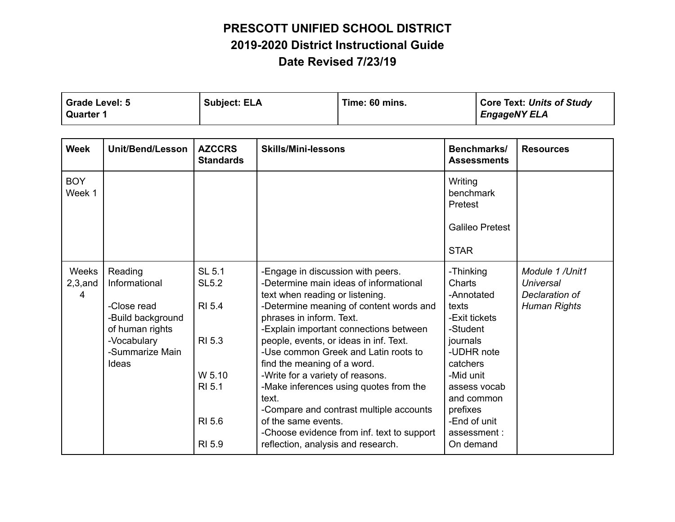| Grade Level: 5   | <b>Subject: ELA</b> | Time: 60 mins. | Core Text: Units of Study |
|------------------|---------------------|----------------|---------------------------|
| <b>Quarter 1</b> |                     |                | <b>EngageNY ELA</b>       |

| <b>Week</b>              | <b>Unit/Bend/Lesson</b>                                                                                                    | <b>AZCCRS</b><br><b>Standards</b>                                                                | <b>Skills/Mini-lessons</b>                                                                                                                                                                                                                                                                                                                                                                                                                                                                                                                                                                    | Benchmarks/<br><b>Assessments</b>                                                                                                                                                                                | <b>Resources</b>                                                             |
|--------------------------|----------------------------------------------------------------------------------------------------------------------------|--------------------------------------------------------------------------------------------------|-----------------------------------------------------------------------------------------------------------------------------------------------------------------------------------------------------------------------------------------------------------------------------------------------------------------------------------------------------------------------------------------------------------------------------------------------------------------------------------------------------------------------------------------------------------------------------------------------|------------------------------------------------------------------------------------------------------------------------------------------------------------------------------------------------------------------|------------------------------------------------------------------------------|
| <b>BOY</b><br>Week 1     |                                                                                                                            |                                                                                                  |                                                                                                                                                                                                                                                                                                                                                                                                                                                                                                                                                                                               | Writing<br>benchmark<br>Pretest                                                                                                                                                                                  |                                                                              |
|                          |                                                                                                                            |                                                                                                  |                                                                                                                                                                                                                                                                                                                                                                                                                                                                                                                                                                                               | <b>Galileo Pretest</b>                                                                                                                                                                                           |                                                                              |
|                          |                                                                                                                            |                                                                                                  |                                                                                                                                                                                                                                                                                                                                                                                                                                                                                                                                                                                               | <b>STAR</b>                                                                                                                                                                                                      |                                                                              |
| Weeks<br>$2,3,$ and<br>4 | Reading<br>Informational<br>-Close read<br>-Build background<br>of human rights<br>-Vocabulary<br>-Summarize Main<br>Ideas | <b>SL 5.1</b><br><b>SL5.2</b><br><b>RI 5.4</b><br>RI 5.3<br>W 5.10<br>RI 5.1<br>RI 5.6<br>RI 5.9 | -Engage in discussion with peers.<br>-Determine main ideas of informational<br>text when reading or listening.<br>-Determine meaning of content words and<br>phrases in inform. Text.<br>-Explain important connections between<br>people, events, or ideas in inf. Text.<br>-Use common Greek and Latin roots to<br>find the meaning of a word.<br>-Write for a variety of reasons.<br>-Make inferences using quotes from the<br>text.<br>-Compare and contrast multiple accounts<br>of the same events.<br>-Choose evidence from inf. text to support<br>reflection, analysis and research. | -Thinking<br>Charts<br>-Annotated<br>texts<br>-Exit tickets<br>-Student<br>journals<br>-UDHR note<br>catchers<br>-Mid unit<br>assess vocab<br>and common<br>prefixes<br>-End of unit<br>assessment:<br>On demand | Module 1 /Unit1<br><b>Universal</b><br>Declaration of<br><b>Human Rights</b> |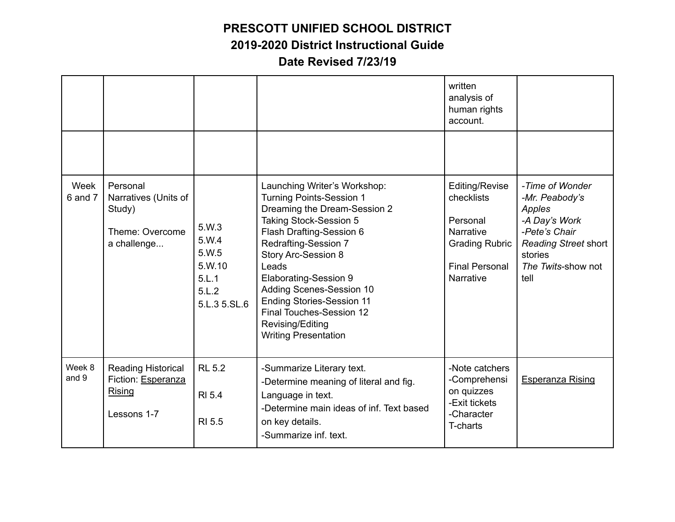|                     |                                                                                 |                                                                     |                                                                                                                                                                                                                                                                                                                                                                                                                   | written<br>analysis of<br>human rights<br>account.                                                                          |                                                                                                                                                       |
|---------------------|---------------------------------------------------------------------------------|---------------------------------------------------------------------|-------------------------------------------------------------------------------------------------------------------------------------------------------------------------------------------------------------------------------------------------------------------------------------------------------------------------------------------------------------------------------------------------------------------|-----------------------------------------------------------------------------------------------------------------------------|-------------------------------------------------------------------------------------------------------------------------------------------------------|
|                     |                                                                                 |                                                                     |                                                                                                                                                                                                                                                                                                                                                                                                                   |                                                                                                                             |                                                                                                                                                       |
| Week<br>$6$ and $7$ | Personal<br>Narratives (Units of<br>Study)<br>Theme: Overcome<br>a challenge    | 5.W.3<br>5.W.4<br>5.W.5<br>5.W.10<br>5.L.1<br>5.L.2<br>5.L.3 5.SL.6 | Launching Writer's Workshop:<br><b>Turning Points-Session 1</b><br>Dreaming the Dream-Session 2<br><b>Taking Stock-Session 5</b><br>Flash Drafting-Session 6<br><b>Redrafting-Session 7</b><br><b>Story Arc-Session 8</b><br>Leads<br><b>Elaborating-Session 9</b><br>Adding Scenes-Session 10<br><b>Ending Stories-Session 11</b><br>Final Touches-Session 12<br>Revising/Editing<br><b>Writing Presentation</b> | Editing/Revise<br>checklists<br>Personal<br><b>Narrative</b><br><b>Grading Rubric</b><br><b>Final Personal</b><br>Narrative | -Time of Wonder<br>-Mr. Peabody's<br>Apples<br>-A Day's Work<br>-Pete's Chair<br><b>Reading Street short</b><br>stories<br>The Twits-show not<br>tell |
| Week 8<br>and 9     | <b>Reading Historical</b><br>Fiction: Esperanza<br><b>Rising</b><br>Lessons 1-7 | <b>RL 5.2</b><br><b>RI 5.4</b><br><b>RI 5.5</b>                     | -Summarize Literary text.<br>-Determine meaning of literal and fig.<br>Language in text.<br>-Determine main ideas of inf. Text based<br>on key details.<br>-Summarize inf. text.                                                                                                                                                                                                                                  | -Note catchers<br>-Comprehensi<br>on quizzes<br>-Exit tickets<br>-Character<br>T-charts                                     | <b>Esperanza Rising</b>                                                                                                                               |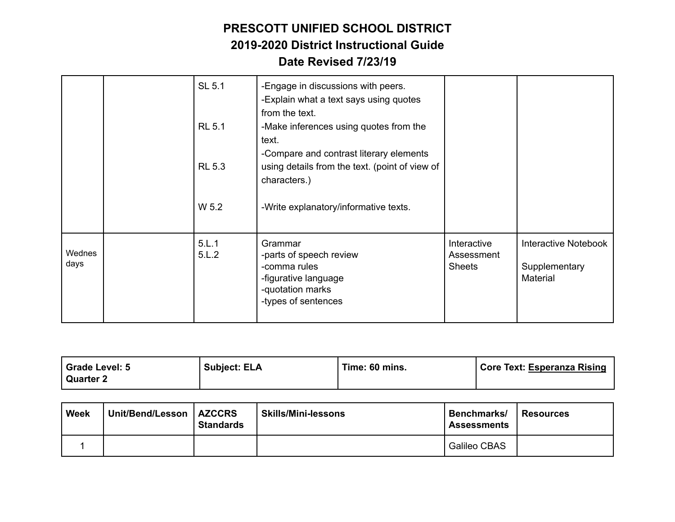|                | SL 5.1<br><b>RL 5.1</b><br><b>RL 5.3</b><br>W 5.2 | -Engage in discussions with peers.<br>-Explain what a text says using quotes<br>from the text.<br>-Make inferences using quotes from the<br>text.<br>-Compare and contrast literary elements<br>using details from the text. (point of view of<br>characters.)<br>-Write explanatory/informative texts. |                                            |                                                          |
|----------------|---------------------------------------------------|---------------------------------------------------------------------------------------------------------------------------------------------------------------------------------------------------------------------------------------------------------------------------------------------------------|--------------------------------------------|----------------------------------------------------------|
| Wednes<br>days | 5.L.1<br>5.L.2                                    | Grammar<br>-parts of speech review<br>-comma rules<br>-figurative language<br>-quotation marks<br>-types of sentences                                                                                                                                                                                   | Interactive<br>Assessment<br><b>Sheets</b> | <b>Interactive Notebook</b><br>Supplementary<br>Material |

| Grade Level: 5 | <b>Subject: ELA</b> | Time: 60 mins. | Core Text: Esperanza Rising |
|----------------|---------------------|----------------|-----------------------------|
| Quarter 2      |                     |                |                             |

| <b>Week</b> | Unit/Bend/Lesson   AZCCRS | <b>Standards</b> | <b>Skills/Mini-lessons</b> | Benchmarks/<br><b>Assessments</b> | <b>Resources</b> |
|-------------|---------------------------|------------------|----------------------------|-----------------------------------|------------------|
|             |                           |                  |                            | Galileo CBAS                      |                  |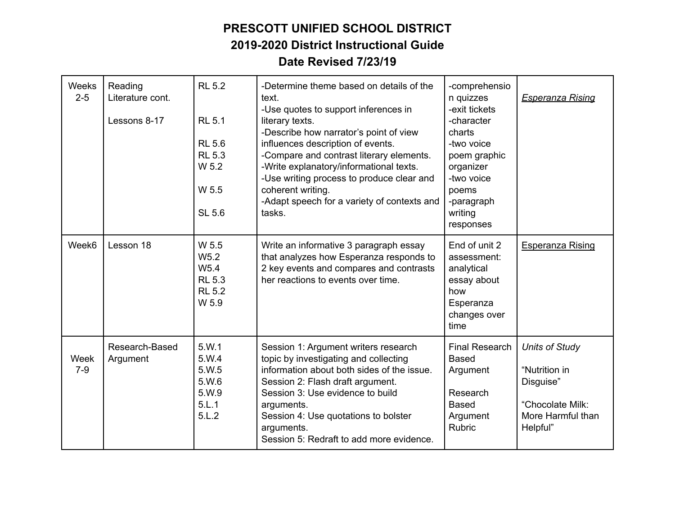| Weeks<br>$2 - 5$ | Reading<br>Literature cont.<br>Lessons 8-17 | <b>RL 5.2</b><br><b>RL 5.1</b><br><b>RL 5.6</b><br><b>RL 5.3</b><br>W 5.2<br>W 5.5<br><b>SL 5.6</b> | -Determine theme based on details of the<br>text.<br>-Use quotes to support inferences in<br>literary texts.<br>-Describe how narrator's point of view<br>influences description of events.<br>-Compare and contrast literary elements.<br>-Write explanatory/informational texts.<br>-Use writing process to produce clear and<br>coherent writing.<br>-Adapt speech for a variety of contexts and<br>tasks. | -comprehensio<br>n quizzes<br>-exit tickets<br>-character<br>charts<br>-two voice<br>poem graphic<br>organizer<br>-two voice<br>poems<br>-paragraph<br>writing<br>responses | <b>Esperanza Rising</b>                                                                                  |
|------------------|---------------------------------------------|-----------------------------------------------------------------------------------------------------|---------------------------------------------------------------------------------------------------------------------------------------------------------------------------------------------------------------------------------------------------------------------------------------------------------------------------------------------------------------------------------------------------------------|-----------------------------------------------------------------------------------------------------------------------------------------------------------------------------|----------------------------------------------------------------------------------------------------------|
| Week6            | Lesson 18                                   | W 5.5<br>W <sub>5.2</sub><br>W <sub>5.4</sub><br><b>RL 5.3</b><br><b>RL 5.2</b><br>W 5.9            | Write an informative 3 paragraph essay<br>that analyzes how Esperanza responds to<br>2 key events and compares and contrasts<br>her reactions to events over time.                                                                                                                                                                                                                                            | End of unit 2<br>assessment:<br>analytical<br>essay about<br>how<br>Esperanza<br>changes over<br>time                                                                       | <b>Esperanza Rising</b>                                                                                  |
| Week<br>$7-9$    | Research-Based<br>Argument                  | 5.W.1<br>5.W.4<br>5.W.5<br>5.W.6<br>5.W.9<br>5.L.1<br>5.L.2                                         | Session 1: Argument writers research<br>topic by investigating and collecting<br>information about both sides of the issue.<br>Session 2: Flash draft argument.<br>Session 3: Use evidence to build<br>arguments.<br>Session 4: Use quotations to bolster<br>arguments.<br>Session 5: Redraft to add more evidence.                                                                                           | <b>Final Research</b><br><b>Based</b><br>Argument<br>Research<br><b>Based</b><br>Argument<br>Rubric                                                                         | <b>Units of Study</b><br>"Nutrition in<br>Disguise"<br>"Chocolate Milk:<br>More Harmful than<br>Helpful" |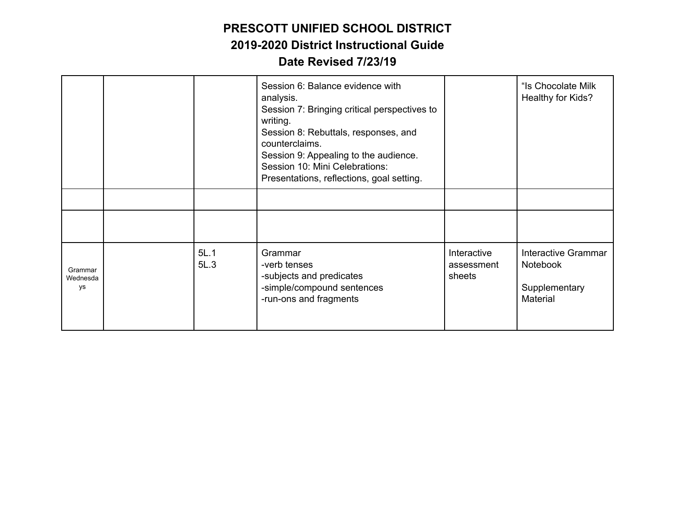|                           |              | Session 6: Balance evidence with<br>analysis.<br>Session 7: Bringing critical perspectives to<br>writing.<br>Session 8: Rebuttals, responses, and<br>counterclaims.<br>Session 9: Appealing to the audience.<br>Session 10: Mini Celebrations:<br>Presentations, reflections, goal setting. |                                     | "Is Chocolate Milk<br>Healthy for Kids?                      |
|---------------------------|--------------|---------------------------------------------------------------------------------------------------------------------------------------------------------------------------------------------------------------------------------------------------------------------------------------------|-------------------------------------|--------------------------------------------------------------|
|                           |              |                                                                                                                                                                                                                                                                                             |                                     |                                                              |
|                           |              |                                                                                                                                                                                                                                                                                             |                                     |                                                              |
| Grammar<br>Wednesda<br>ys | 5L.1<br>5L.3 | Grammar<br>-verb tenses<br>-subjects and predicates<br>-simple/compound sentences<br>-run-ons and fragments                                                                                                                                                                                 | Interactive<br>assessment<br>sheets | Interactive Grammar<br>Notebook<br>Supplementary<br>Material |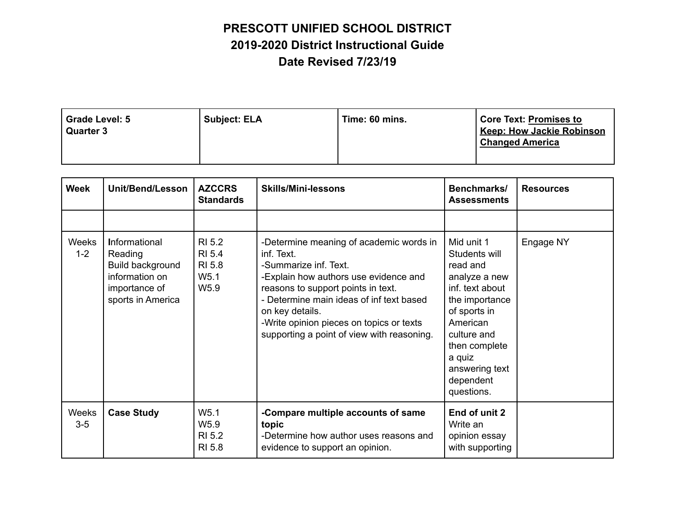| Grade Level: 5<br><b>Quarter 3</b> | Subject: ELA | Time: 60 mins. | <b>Core Text: Promises to</b><br><b>Keep: How Jackie Robinson</b><br><b>Changed America</b> |
|------------------------------------|--------------|----------------|---------------------------------------------------------------------------------------------|
|                                    |              |                |                                                                                             |

| <b>Week</b>      | Unit/Bend/Lesson                                                                                     | <b>AZCCRS</b><br><b>Standards</b>                                  | <b>Skills/Mini-lessons</b>                                                                                                                                                                                                                                                                                             | Benchmarks/<br><b>Assessments</b>                                                                                                                                                                                | <b>Resources</b> |
|------------------|------------------------------------------------------------------------------------------------------|--------------------------------------------------------------------|------------------------------------------------------------------------------------------------------------------------------------------------------------------------------------------------------------------------------------------------------------------------------------------------------------------------|------------------------------------------------------------------------------------------------------------------------------------------------------------------------------------------------------------------|------------------|
|                  |                                                                                                      |                                                                    |                                                                                                                                                                                                                                                                                                                        |                                                                                                                                                                                                                  |                  |
| Weeks<br>$1 - 2$ | Informational<br>Reading<br>Build background<br>information on<br>importance of<br>sports in America | RI 5.2<br>RI 5.4<br>RI 5.8<br>W <sub>5.1</sub><br>W <sub>5.9</sub> | -Determine meaning of academic words in<br>inf. Text.<br>-Summarize inf. Text.<br>-Explain how authors use evidence and<br>reasons to support points in text.<br>- Determine main ideas of inf text based<br>on key details.<br>-Write opinion pieces on topics or texts<br>supporting a point of view with reasoning. | Mid unit 1<br>Students will<br>read and<br>analyze a new<br>inf. text about<br>the importance<br>of sports in<br>American<br>culture and<br>then complete<br>a quiz<br>answering text<br>dependent<br>questions. | Engage NY        |
| Weeks<br>$3-5$   | <b>Case Study</b>                                                                                    | W <sub>5.1</sub><br>W <sub>5.9</sub><br>RI 5.2<br>RI 5.8           | -Compare multiple accounts of same<br>topic<br>-Determine how author uses reasons and<br>evidence to support an opinion.                                                                                                                                                                                               | End of unit 2<br>Write an<br>opinion essay<br>with supporting                                                                                                                                                    |                  |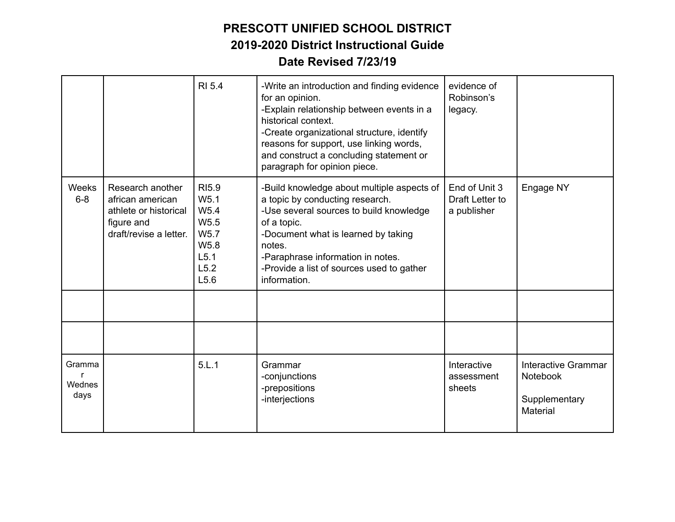|                               |                                                                                                       | <b>RI 5.4</b>                                                                                                                | -Write an introduction and finding evidence<br>for an opinion.<br>-Explain relationship between events in a<br>historical context.<br>-Create organizational structure, identify<br>reasons for support, use linking words,<br>and construct a concluding statement or<br>paragraph for opinion piece. | evidence of<br>Robinson's<br>legacy.            |                                                              |
|-------------------------------|-------------------------------------------------------------------------------------------------------|------------------------------------------------------------------------------------------------------------------------------|--------------------------------------------------------------------------------------------------------------------------------------------------------------------------------------------------------------------------------------------------------------------------------------------------------|-------------------------------------------------|--------------------------------------------------------------|
| Weeks<br>$6 - 8$              | Research another<br>african american<br>athlete or historical<br>figure and<br>draft/revise a letter. | <b>RI5.9</b><br>W <sub>5.1</sub><br>W <sub>5.4</sub><br>W <sub>5.5</sub><br>W <sub>5.7</sub><br>W5.8<br>L5.1<br>L5.2<br>L5.6 | -Build knowledge about multiple aspects of<br>a topic by conducting research.<br>-Use several sources to build knowledge<br>of a topic.<br>-Document what is learned by taking<br>notes.<br>-Paraphrase information in notes.<br>-Provide a list of sources used to gather<br>information.             | End of Unit 3<br>Draft Letter to<br>a publisher | Engage NY                                                    |
|                               |                                                                                                       |                                                                                                                              |                                                                                                                                                                                                                                                                                                        |                                                 |                                                              |
|                               |                                                                                                       |                                                                                                                              |                                                                                                                                                                                                                                                                                                        |                                                 |                                                              |
| Gramma<br>r<br>Wednes<br>days |                                                                                                       | 5.L.1                                                                                                                        | Grammar<br>-conjunctions<br>-prepositions<br>-interjections                                                                                                                                                                                                                                            | Interactive<br>assessment<br>sheets             | Interactive Grammar<br>Notebook<br>Supplementary<br>Material |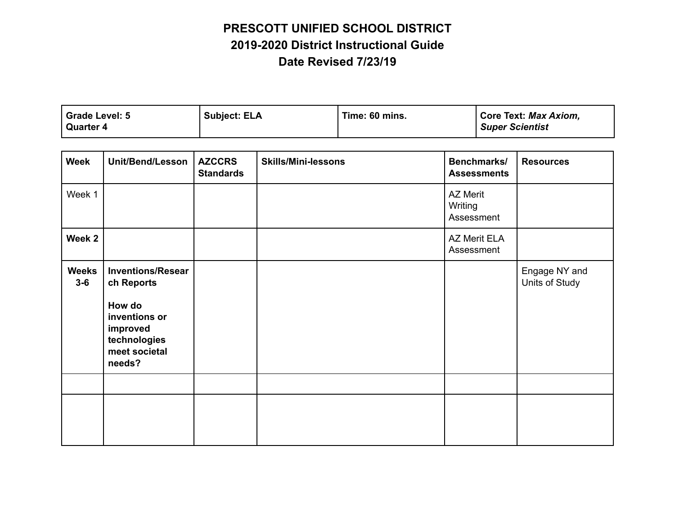| Grade Level: 5   | <b>Subject: ELA</b> | Time: 60 mins. | Core Text: Max Axiom,  |
|------------------|---------------------|----------------|------------------------|
| <b>Quarter 4</b> |                     |                | <b>Super Scientist</b> |

| <b>Week</b>           | <b>Unit/Bend/Lesson</b>                                                                                                  | <b>AZCCRS</b><br><b>Standards</b> | <b>Skills/Mini-lessons</b> | Benchmarks/<br><b>Assessments</b>        | <b>Resources</b>                |
|-----------------------|--------------------------------------------------------------------------------------------------------------------------|-----------------------------------|----------------------------|------------------------------------------|---------------------------------|
| Week 1                |                                                                                                                          |                                   |                            | <b>AZ Merit</b><br>Writing<br>Assessment |                                 |
| Week 2                |                                                                                                                          |                                   |                            | AZ Merit ELA<br>Assessment               |                                 |
| <b>Weeks</b><br>$3-6$ | <b>Inventions/Resear</b><br>ch Reports<br>How do<br>inventions or<br>improved<br>technologies<br>meet societal<br>needs? |                                   |                            |                                          | Engage NY and<br>Units of Study |
|                       |                                                                                                                          |                                   |                            |                                          |                                 |
|                       |                                                                                                                          |                                   |                            |                                          |                                 |